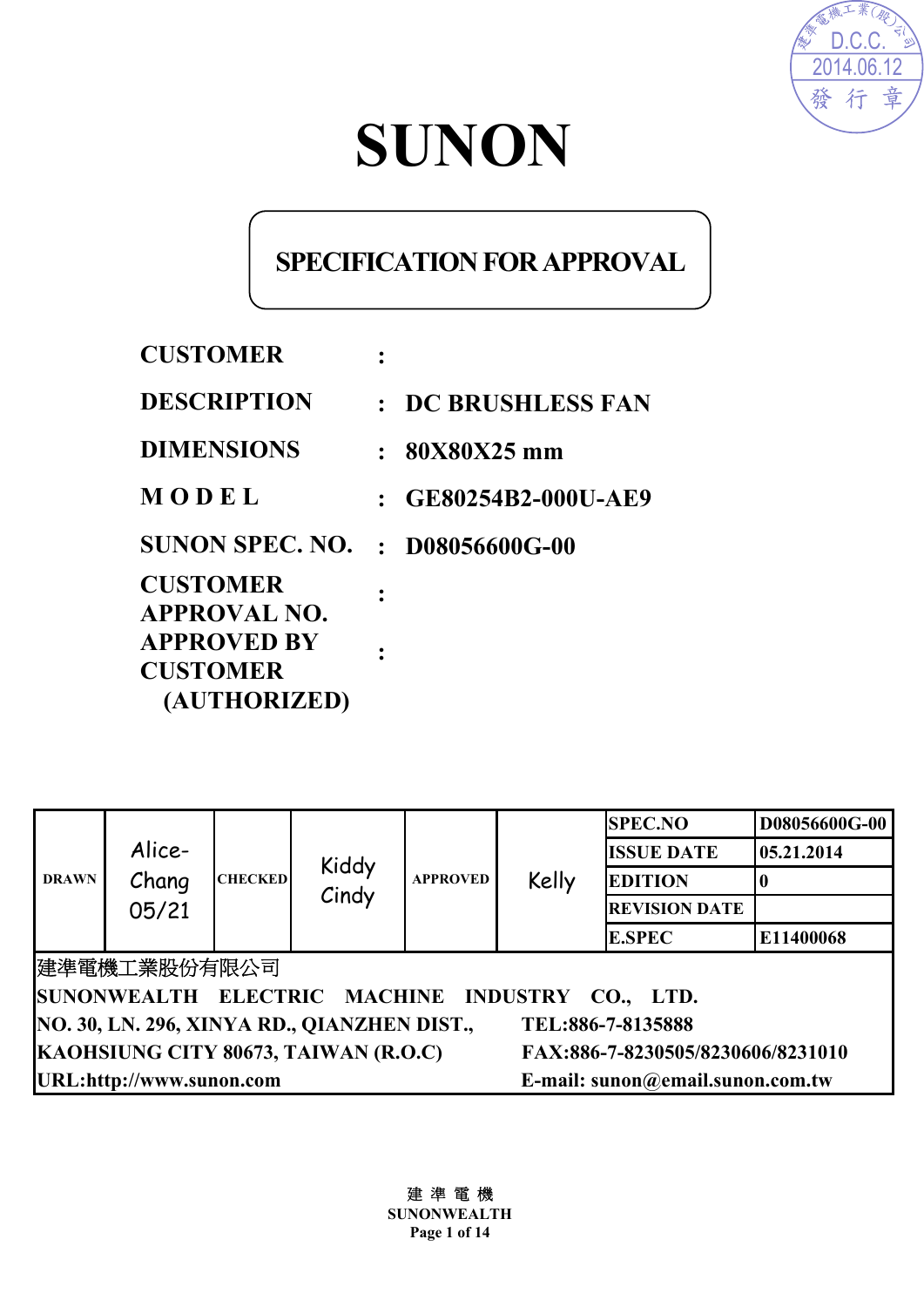

# **SUNON**

# **SPECIFICATION FOR APPROVAL**

| <b>CUSTOMER</b>                       |             |                         |
|---------------------------------------|-------------|-------------------------|
| <b>DESCRIPTION</b>                    | $\bullet$ . | <b>DC BRUSHLESS FAN</b> |
| <b>DIMENSIONS</b>                     | $\cdot$     | 80X80X25 mm             |
| MODEL                                 |             | $:$ GE80254B2-000U-AE9  |
| <b>SUNON SPEC. NO.</b>                |             | $: 108056600$ G-00      |
| <b>CUSTOMER</b><br>APPROVAL NO.       |             |                         |
| <b>APPROVED BY</b><br><b>CUSTOMER</b> |             |                         |
| (AUTHORIZED)                          |             |                         |

| <b>DRAWN</b>                                                              | Alice-<br>Chang<br>05/21                                     | <b>CHECKED</b> | Kiddy<br>Cindy | <b>APPROVED</b> | Kelly | <b>SPEC.NO</b>       | D08056600G-00 |
|---------------------------------------------------------------------------|--------------------------------------------------------------|----------------|----------------|-----------------|-------|----------------------|---------------|
|                                                                           |                                                              |                |                |                 |       | <b>ISSUE DATE</b>    | 05.21.2014    |
|                                                                           |                                                              |                |                |                 |       | <b>EDITION</b>       |               |
|                                                                           |                                                              |                |                |                 |       | <b>REVISION DATE</b> |               |
|                                                                           |                                                              |                |                |                 |       | <b>E.SPEC</b>        | E11400068     |
| 建準電機工業股份有限公司                                                              |                                                              |                |                |                 |       |                      |               |
| SUNONWEALTH ELECTRIC MACHINE INDUSTRY CO., LTD.                           |                                                              |                |                |                 |       |                      |               |
| NO. 30, LN. 296, XINYA RD., QIANZHEN DIST.,<br>TEL:886-7-8135888          |                                                              |                |                |                 |       |                      |               |
| KAOHSIUNG CITY 80673, TAIWAN (R.O.C)<br>FAX:886-7-8230505/8230606/8231010 |                                                              |                |                |                 |       |                      |               |
|                                                                           | URL:http://www.sunon.com<br>E-mail: sunon@email.sunon.com.tw |                |                |                 |       |                      |               |

建 準 電 機 **SUNONWEALTH Page 1 of 14**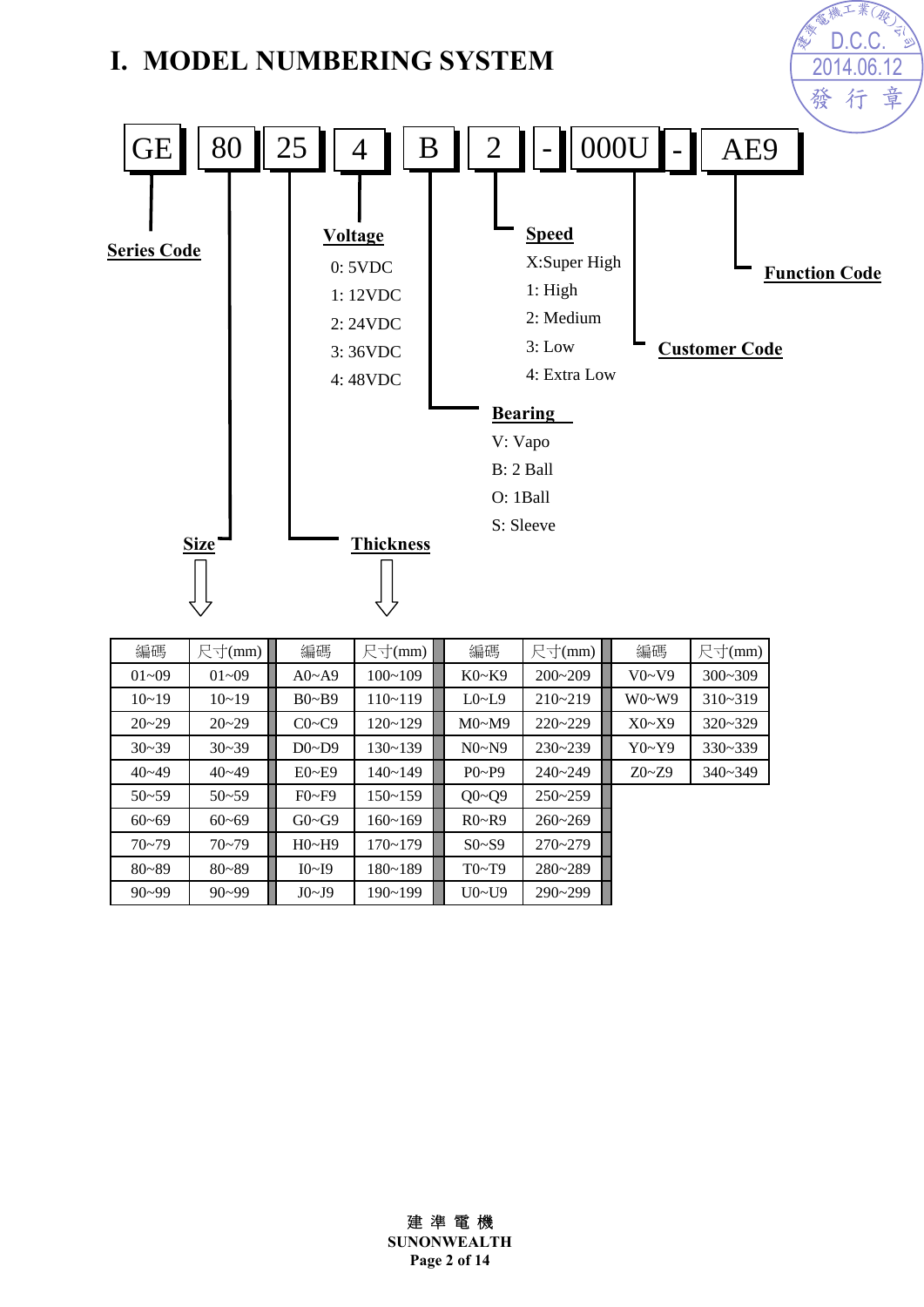

| 編碼        | 尺寸(mm)    | 編碼           | 尺寸(mm)      | 編碼                     | 尺寸(mm)      | 編碼        | 尺寸(mm)      |
|-----------|-----------|--------------|-------------|------------------------|-------------|-----------|-------------|
| $01 - 09$ | $01 - 09$ | $A0 \sim A9$ | $100 - 109$ | $K0-K9$                | $200 - 209$ | V0~V9     | $300 - 309$ |
| $10 - 19$ | $10 - 19$ | $B0\sim B9$  | $110 - 119$ | $L0\nightharpoonup L9$ | $210 - 219$ | $W0-W9$   | $310 - 319$ |
| $20 - 29$ | $20 - 29$ | $C0 \sim C9$ | $120 - 129$ | M0~M9                  | $220 - 229$ | X0~X9     | $320 - 329$ |
| $30 - 39$ | $30 - 39$ | $D0\neg D9$  | $130 - 139$ | N0~N9                  | $230 - 239$ | Y0~Y9     | $330 - 339$ |
| $40 - 49$ | $40 - 49$ | $E0 - E9$    | $140 - 149$ | $P_0 \sim P_9$         | $240 - 249$ | $Z0 - Z9$ | $340 - 349$ |
| $50 - 59$ | $50 - 59$ | $F0-F9$      | $150 - 159$ | $Q0 - Q9$              | $250 - 259$ |           |             |
| $60 - 69$ | $60 - 69$ | $G0 \sim G9$ | $160 - 169$ | $R0-P9$                | $260 - 269$ |           |             |
| $70 - 79$ | $70 - 79$ | H0~H9        | $170 - 179$ | $S0- S9$               | $270 - 279$ |           |             |
| $80 - 89$ | $80 - 89$ | I0~I9        | $180 - 189$ | T0~T9                  | $280 - 289$ |           |             |
| $90 - 99$ | $90 - 99$ | J0~J9        | $190 - 199$ | U0~U9                  | $290 - 299$ |           |             |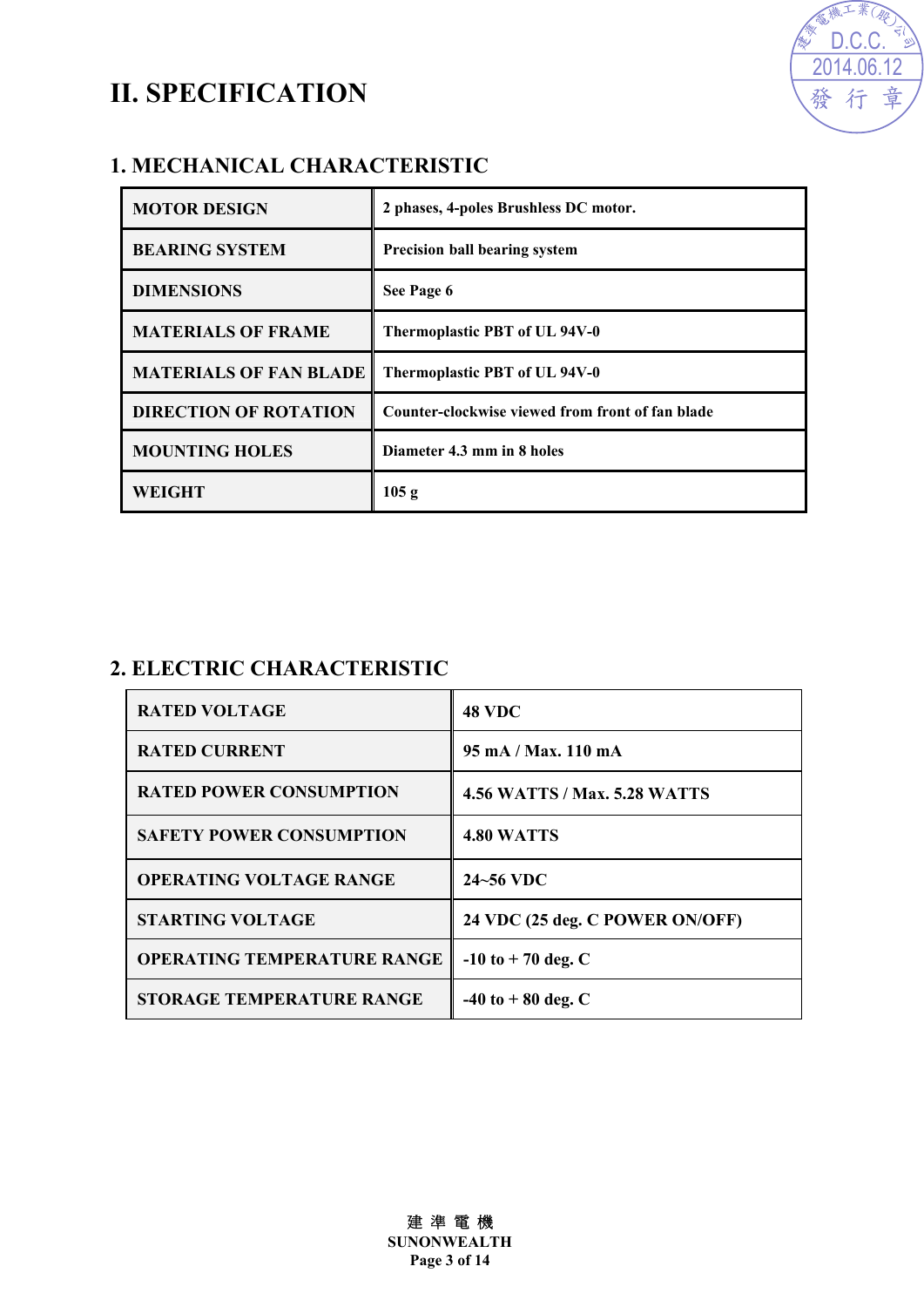## **II. SPECIFICATION**



#### **1. MECHANICAL CHARACTERISTIC**

| <b>MOTOR DESIGN</b>           | 2 phases, 4-poles Brushless DC motor.            |
|-------------------------------|--------------------------------------------------|
| <b>BEARING SYSTEM</b>         | <b>Precision ball bearing system</b>             |
| <b>DIMENSIONS</b>             | See Page 6                                       |
| <b>MATERIALS OF FRAME</b>     | Thermoplastic PBT of UL 94V-0                    |
| <b>MATERIALS OF FAN BLADE</b> | Thermoplastic PBT of UL 94V-0                    |
| <b>DIRECTION OF ROTATION</b>  | Counter-clockwise viewed from front of fan blade |
| <b>MOUNTING HOLES</b>         | Diameter 4.3 mm in 8 holes                       |
| WEIGHT                        | 105 g                                            |

#### **2. ELECTRIC CHARACTERISTIC**

| <b>RATED VOLTAGE</b>               | <b>48 VDC</b>                         |
|------------------------------------|---------------------------------------|
| <b>RATED CURRENT</b>               | $95 \text{ mA} / \text{Max}$ . 110 mA |
| <b>RATED POWER CONSUMPTION</b>     | <b>4.56 WATTS / Max. 5.28 WATTS</b>   |
| <b>SAFETY POWER CONSUMPTION</b>    | <b>4.80 WATTS</b>                     |
| <b>OPERATING VOLTAGE RANGE</b>     | 24~56 VDC                             |
| <b>STARTING VOLTAGE</b>            | 24 VDC (25 deg. C POWER ON/OFF)       |
| <b>OPERATING TEMPERATURE RANGE</b> | $-10$ to $+70$ deg. C                 |
| <b>STORAGE TEMPERATURE RANGE</b>   | $-40$ to $+80$ deg. C                 |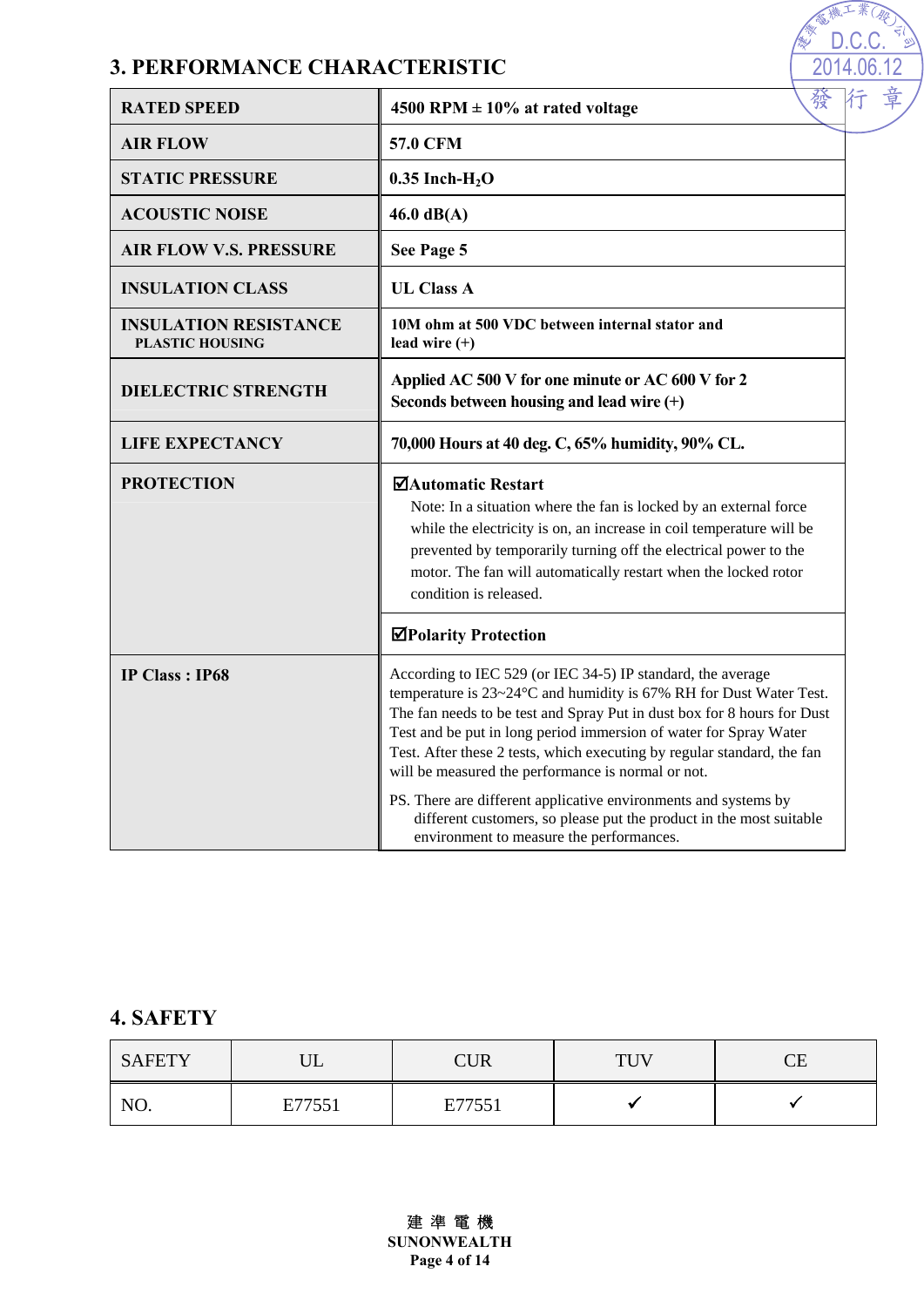#### **3. PERFORMANCE CHARACTERISTIC**

| <b>RATED SPEED</b>                                     | 發<br>4500 RPM $\pm$ 10% at rated voltage                                                                                                                                                                                                                                                                                                                                                                           |  |
|--------------------------------------------------------|--------------------------------------------------------------------------------------------------------------------------------------------------------------------------------------------------------------------------------------------------------------------------------------------------------------------------------------------------------------------------------------------------------------------|--|
| <b>AIR FLOW</b>                                        | <b>57.0 CFM</b>                                                                                                                                                                                                                                                                                                                                                                                                    |  |
| <b>STATIC PRESSURE</b>                                 | $0.35$ Inch-H <sub>2</sub> O                                                                                                                                                                                                                                                                                                                                                                                       |  |
| <b>ACOUSTIC NOISE</b>                                  | $46.0$ dB(A)                                                                                                                                                                                                                                                                                                                                                                                                       |  |
| <b>AIR FLOW V.S. PRESSURE</b>                          | See Page 5                                                                                                                                                                                                                                                                                                                                                                                                         |  |
| <b>INSULATION CLASS</b>                                | <b>UL Class A</b>                                                                                                                                                                                                                                                                                                                                                                                                  |  |
| <b>INSULATION RESISTANCE</b><br><b>PLASTIC HOUSING</b> | 10M ohm at 500 VDC between internal stator and<br>lead wire $(+)$                                                                                                                                                                                                                                                                                                                                                  |  |
| <b>DIELECTRIC STRENGTH</b>                             | Applied AC 500 V for one minute or AC 600 V for 2<br>Seconds between housing and lead wire $(+)$                                                                                                                                                                                                                                                                                                                   |  |
| <b>LIFE EXPECTANCY</b>                                 | 70,000 Hours at 40 deg. C, 65% humidity, 90% CL.                                                                                                                                                                                                                                                                                                                                                                   |  |
| <b>PROTECTION</b>                                      | ⊠Automatic Restart<br>Note: In a situation where the fan is locked by an external force<br>while the electricity is on, an increase in coil temperature will be<br>prevented by temporarily turning off the electrical power to the<br>motor. The fan will automatically restart when the locked rotor<br>condition is released.                                                                                   |  |
|                                                        | <b>⊠Polarity Protection</b>                                                                                                                                                                                                                                                                                                                                                                                        |  |
| <b>IP Class: IP68</b>                                  | According to IEC 529 (or IEC 34-5) IP standard, the average<br>temperature is 23~24°C and humidity is 67% RH for Dust Water Test.<br>The fan needs to be test and Spray Put in dust box for 8 hours for Dust<br>Test and be put in long period immersion of water for Spray Water<br>Test. After these 2 tests, which executing by regular standard, the fan<br>will be measured the performance is normal or not. |  |
|                                                        | PS. There are different applicative environments and systems by<br>different customers, so please put the product in the most suitable<br>environment to measure the performances.                                                                                                                                                                                                                                 |  |

高雅工業(學 D.C.C.2014.06.12

**AND** 

章

#### **4. SAFETY**

| <b>SAFETY</b> | ∪∟     | <b>CUR</b> | THV<br>$\overline{ }$ | $\cap$ F<br>نلت |
|---------------|--------|------------|-----------------------|-----------------|
| NO.           | E77551 | E77551     |                       |                 |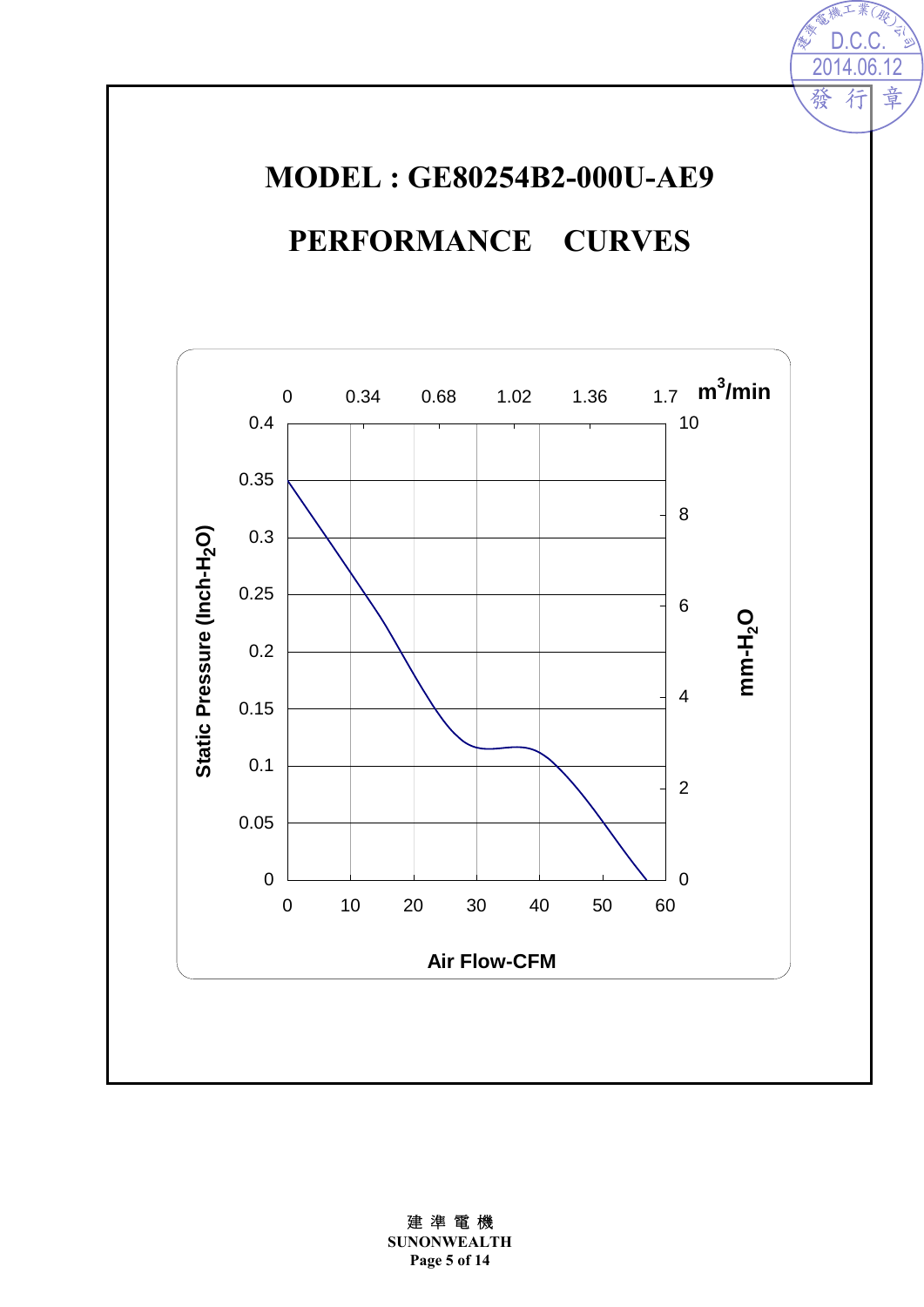# **MODEL : GE80254B2-000U-AE9**

2014.06.12

行

發

**D.C.** Fill

章

# **PERFORMANCE CURVES**

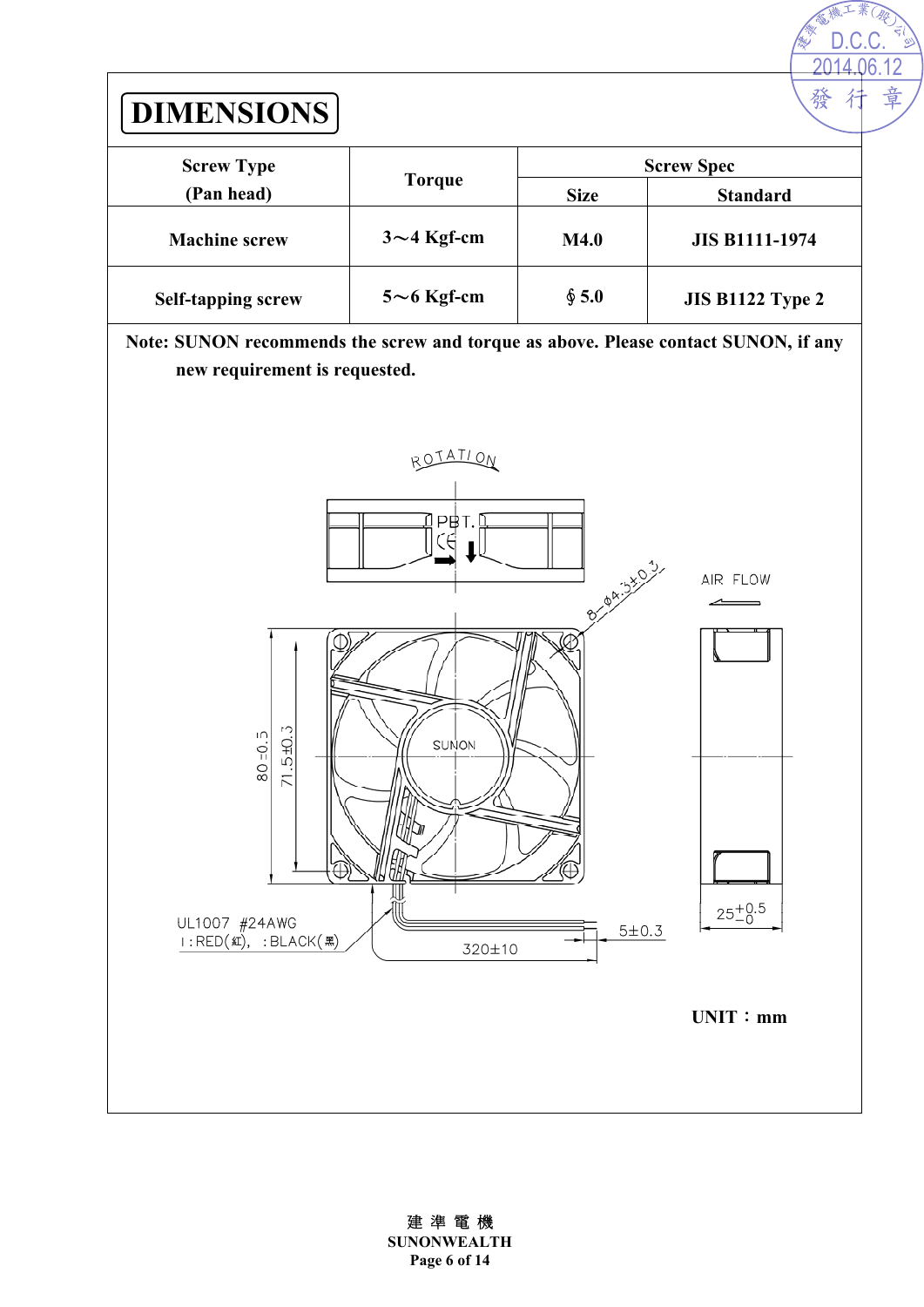

建 準 電 機 **SUNONWEALTH Page 6 of 14**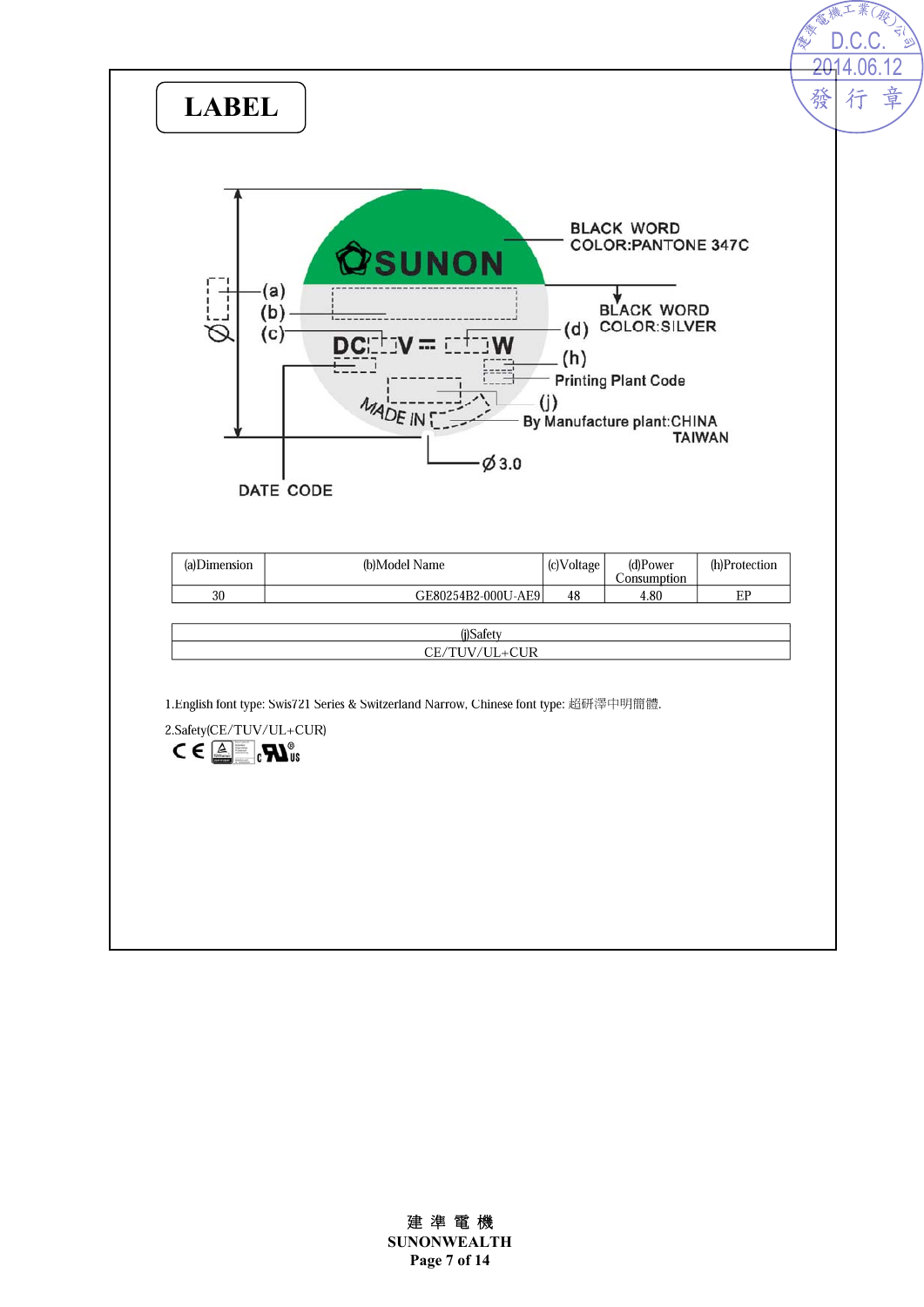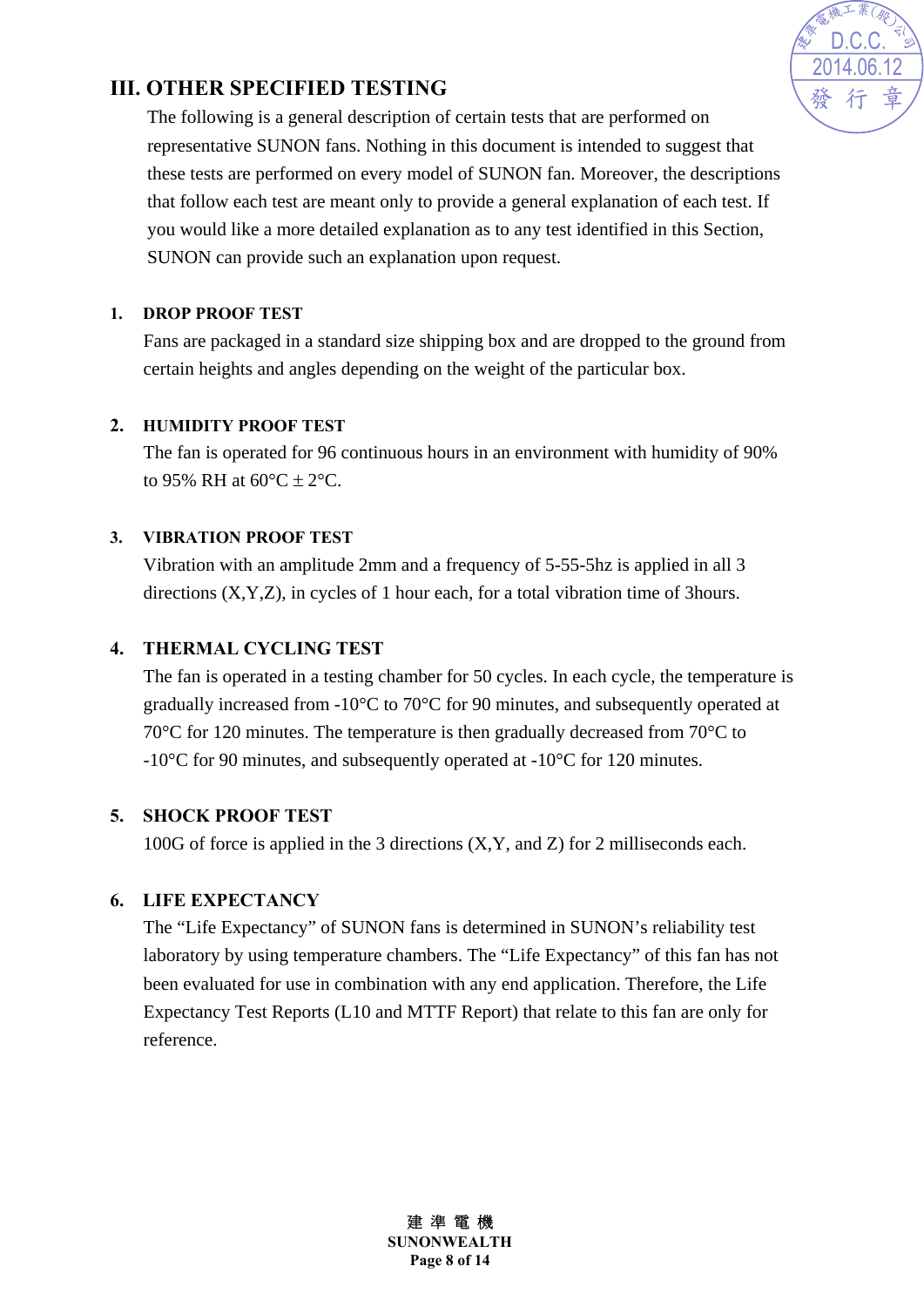

#### **III. OTHER SPECIFIED TESTING**

The following is a general description of certain tests that are performed on representative SUNON fans. Nothing in this document is intended to suggest that these tests are performed on every model of SUNON fan. Moreover, the descriptions that follow each test are meant only to provide a general explanation of each test. If you would like a more detailed explanation as to any test identified in this Section, SUNON can provide such an explanation upon request.

#### **1. DROP PROOF TEST**

Fans are packaged in a standard size shipping box and are dropped to the ground from certain heights and angles depending on the weight of the particular box.

#### **2. HUMIDITY PROOF TEST**

The fan is operated for 96 continuous hours in an environment with humidity of 90% to 95% RH at  $60^{\circ}C + 2^{\circ}C$ .

#### **3. VIBRATION PROOF TEST**

Vibration with an amplitude 2mm and a frequency of 5-55-5hz is applied in all 3 directions (X,Y,Z), in cycles of 1 hour each, for a total vibration time of 3hours.

#### **4. THERMAL CYCLING TEST**

The fan is operated in a testing chamber for 50 cycles. In each cycle, the temperature is gradually increased from -10°C to 70°C for 90 minutes, and subsequently operated at 70°C for 120 minutes. The temperature is then gradually decreased from 70°C to -10°C for 90 minutes, and subsequently operated at -10°C for 120 minutes.

#### **5. SHOCK PROOF TEST**

100G of force is applied in the 3 directions (X,Y, and Z) for 2 milliseconds each.

#### **6. LIFE EXPECTANCY**

The "Life Expectancy" of SUNON fans is determined in SUNON's reliability test laboratory by using temperature chambers. The "Life Expectancy" of this fan has not been evaluated for use in combination with any end application. Therefore, the Life Expectancy Test Reports (L10 and MTTF Report) that relate to this fan are only for reference.

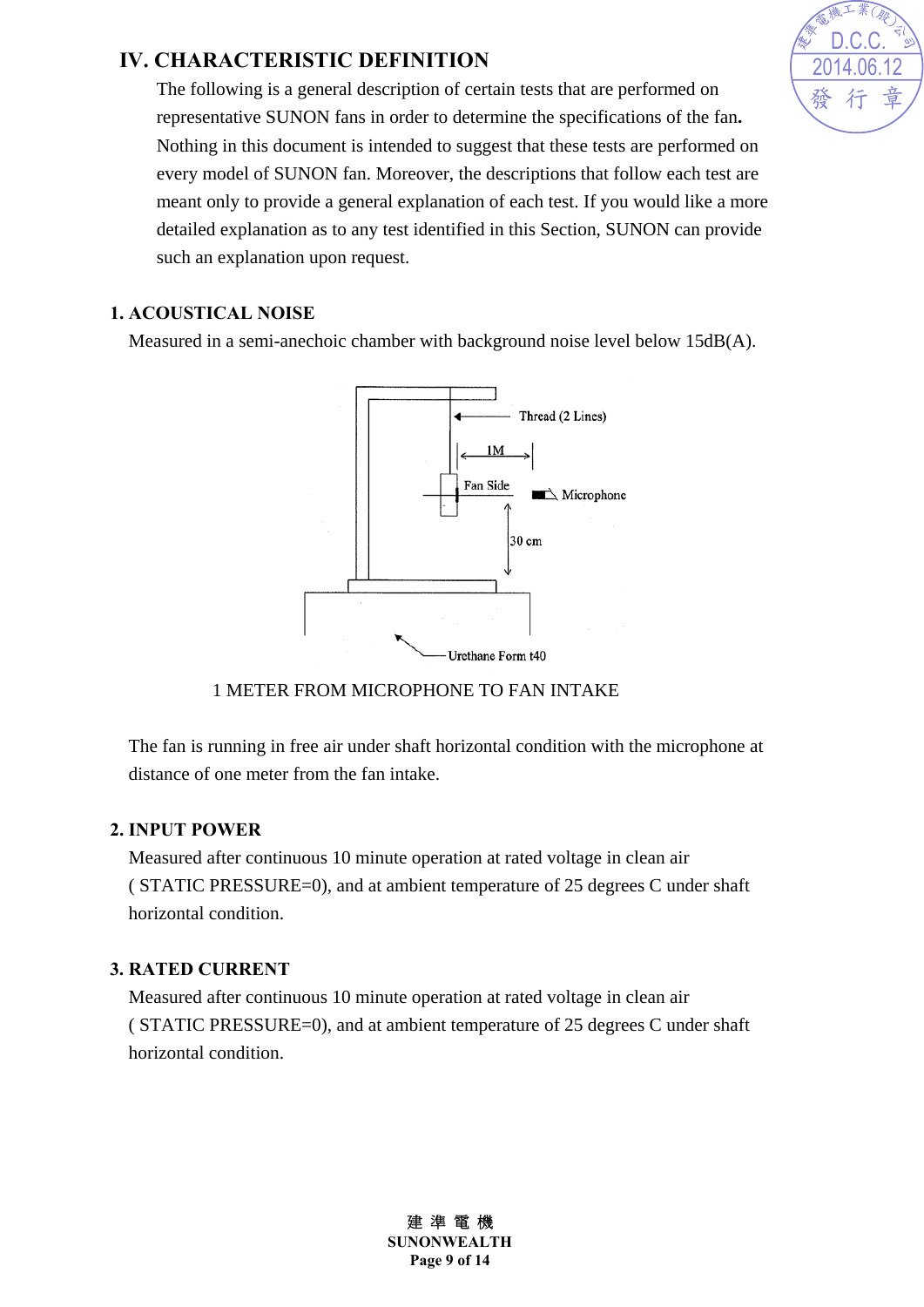#### **IV. CHARACTERISTIC DEFINITION**

The following is a general description of certain tests that are performed on representative SUNON fans in order to determine the specifications of the fan**.** Nothing in this document is intended to suggest that these tests are performed on every model of SUNON fan. Moreover, the descriptions that follow each test are meant only to provide a general explanation of each test. If you would like a more detailed explanation as to any test identified in this Section, SUNON can provide such an explanation upon request.

#### **1. ACOUSTICAL NOISE**

Measured in a semi-anechoic chamber with background noise level below 15dB(A).



#### 1 METER FROM MICROPHONE TO FAN INTAKE

The fan is running in free air under shaft horizontal condition with the microphone at distance of one meter from the fan intake.

#### **2. INPUT POWER**

Measured after continuous 10 minute operation at rated voltage in clean air ( STATIC PRESSURE=0), and at ambient temperature of 25 degrees C under shaft horizontal condition.

#### **3. RATED CURRENT**

Measured after continuous 10 minute operation at rated voltage in clean air ( STATIC PRESSURE=0), and at ambient temperature of 25 degrees C under shaft horizontal condition.



建 準 電 機 **SUNONWEALTH Page 9 of 14**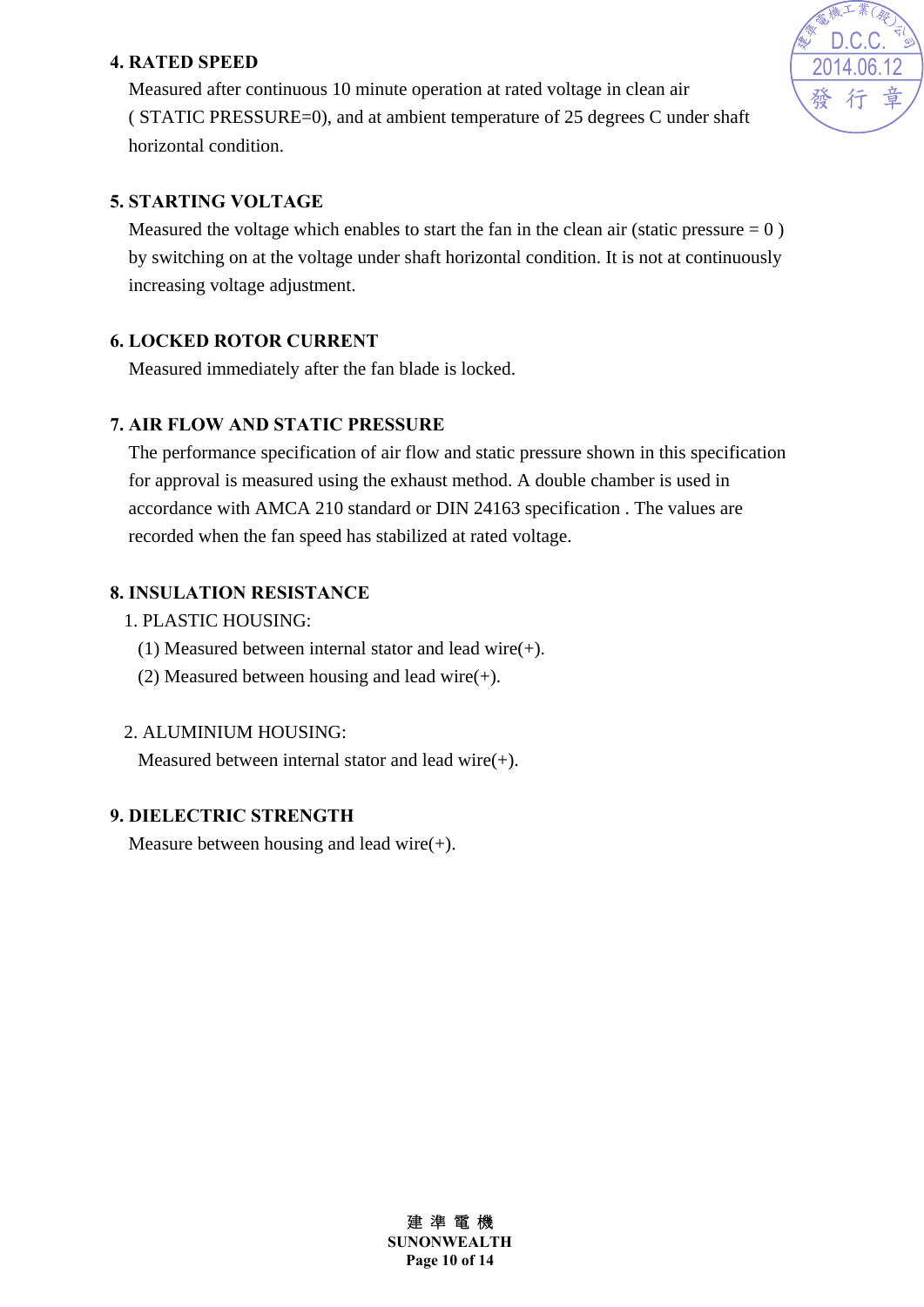#### **4. RATED SPEED**

Measured after continuous 10 minute operation at rated voltage in clean air ( STATIC PRESSURE=0), and at ambient temperature of 25 degrees C under shaft horizontal condition.



#### **5. STARTING VOLTAGE**

Measured the voltage which enables to start the fan in the clean air (static pressure  $= 0$ ) by switching on at the voltage under shaft horizontal condition. It is not at continuously increasing voltage adjustment.

#### **6. LOCKED ROTOR CURRENT**

Measured immediately after the fan blade is locked.

#### **7. AIR FLOW AND STATIC PRESSURE**

The performance specification of air flow and static pressure shown in this specification for approval is measured using the exhaust method. A double chamber is used in accordance with AMCA 210 standard or DIN 24163 specification . The values are recorded when the fan speed has stabilized at rated voltage.

#### **8. INSULATION RESISTANCE**

- 1. PLASTIC HOUSING:
	- (1) Measured between internal stator and lead wire(+).
	- (2) Measured between housing and lead wire(+).

#### 2. ALUMINIUM HOUSING:

Measured between internal stator and lead wire $(+)$ .

#### **9. DIELECTRIC STRENGTH**

Measure between housing and lead wire $(+)$ .

建 準 電 機 **SUNONWEALTH Page 10 of 14**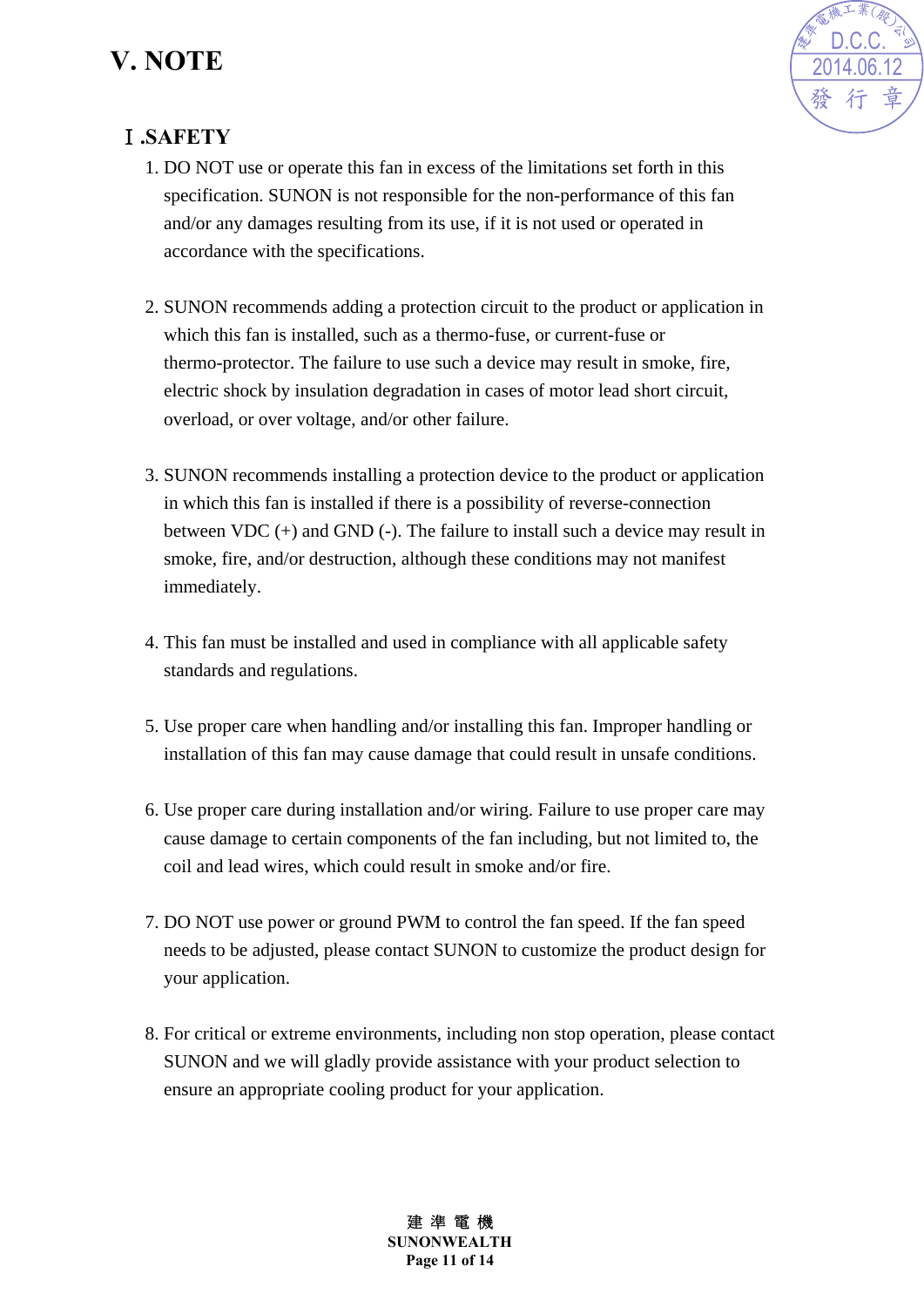## **V. NOTE**



#### Ⅰ**.SAFETY**

- 1. DO NOT use or operate this fan in excess of the limitations set forth in this specification. SUNON is not responsible for the non-performance of this fan and/or any damages resulting from its use, if it is not used or operated in accordance with the specifications.
- 2. SUNON recommends adding a protection circuit to the product or application in which this fan is installed, such as a thermo-fuse, or current-fuse or thermo-protector. The failure to use such a device may result in smoke, fire, electric shock by insulation degradation in cases of motor lead short circuit, overload, or over voltage, and/or other failure.
- 3. SUNON recommends installing a protection device to the product or application in which this fan is installed if there is a possibility of reverse-connection between VDC (+) and GND (-). The failure to install such a device may result in smoke, fire, and/or destruction, although these conditions may not manifest immediately.
- 4. This fan must be installed and used in compliance with all applicable safety standards and regulations.
- 5. Use proper care when handling and/or installing this fan. Improper handling or installation of this fan may cause damage that could result in unsafe conditions.
- 6. Use proper care during installation and/or wiring. Failure to use proper care may cause damage to certain components of the fan including, but not limited to, the coil and lead wires, which could result in smoke and/or fire.
- 7. DO NOT use power or ground PWM to control the fan speed. If the fan speed needs to be adjusted, please contact SUNON to customize the product design for your application.
- 8. For critical or extreme environments, including non stop operation, please contact SUNON and we will gladly provide assistance with your product selection to ensure an appropriate cooling product for your application.

建 準 電 機 **SUNONWEALTH Page 11 of 14**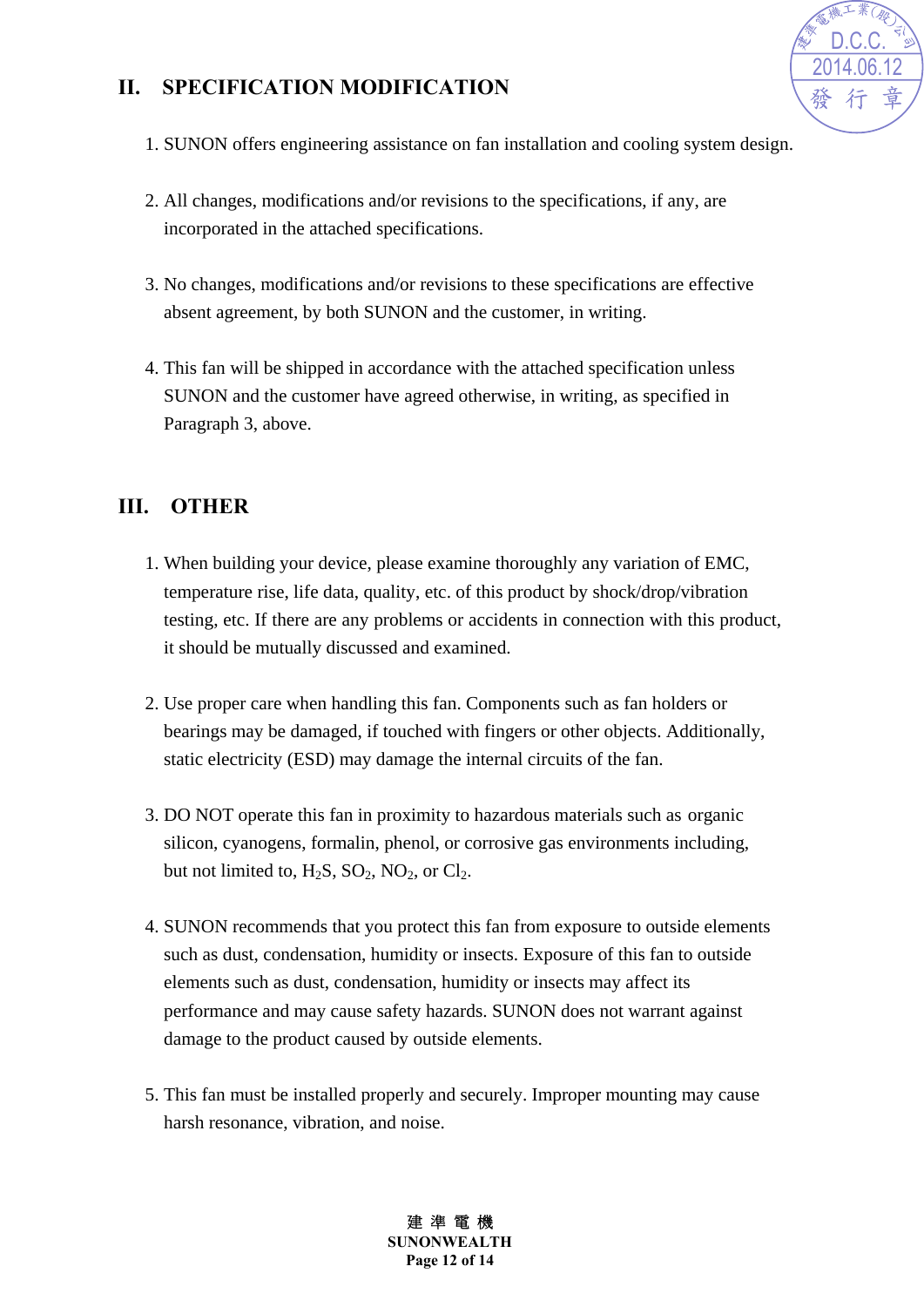#### **II. SPECIFICATION MODIFICATION**



- 1. SUNON offers engineering assistance on fan installation and cooling system design.
- 2. All changes, modifications and/or revisions to the specifications, if any, are incorporated in the attached specifications.
- 3. No changes, modifications and/or revisions to these specifications are effective absent agreement, by both SUNON and the customer, in writing.
- 4. This fan will be shipped in accordance with the attached specification unless SUNON and the customer have agreed otherwise, in writing, as specified in Paragraph 3, above.

#### **III. OTHER**

- 1. When building your device, please examine thoroughly any variation of EMC, temperature rise, life data, quality, etc. of this product by shock/drop/vibration testing, etc. If there are any problems or accidents in connection with this product, it should be mutually discussed and examined.
- 2. Use proper care when handling this fan. Components such as fan holders or bearings may be damaged, if touched with fingers or other objects. Additionally, static electricity (ESD) may damage the internal circuits of the fan.
- 3. DO NOT operate this fan in proximity to hazardous materials such as organic silicon, cyanogens, formalin, phenol, or corrosive gas environments including, but not limited to,  $H_2S$ ,  $SO_2$ ,  $NO_2$ , or  $Cl_2$ .
- 4. SUNON recommends that you protect this fan from exposure to outside elements such as dust, condensation, humidity or insects. Exposure of this fan to outside elements such as dust, condensation, humidity or insects may affect its performance and may cause safety hazards. SUNON does not warrant against damage to the product caused by outside elements.
- 5. This fan must be installed properly and securely. Improper mounting may cause harsh resonance, vibration, and noise.

建 進 雷 機 **SUNONWEALTH Page 12 of 14**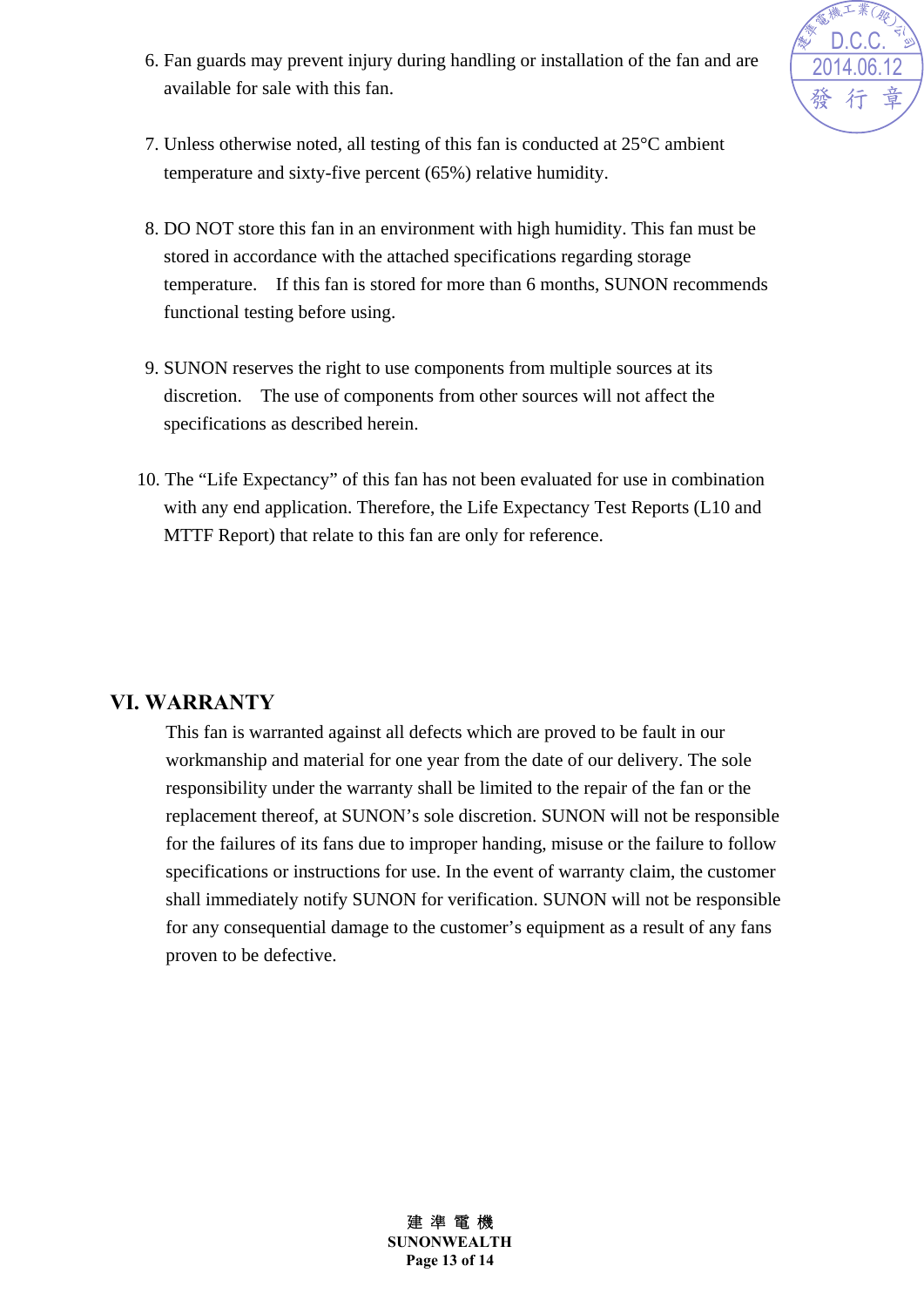6. Fan guards may prevent injury during handling or installation of the fan and are available for sale with this fan.



- 7. Unless otherwise noted, all testing of this fan is conducted at 25°C ambient temperature and sixty-five percent (65%) relative humidity.
- 8. DO NOT store this fan in an environment with high humidity. This fan must be stored in accordance with the attached specifications regarding storage temperature. If this fan is stored for more than 6 months, SUNON recommends functional testing before using.
- 9. SUNON reserves the right to use components from multiple sources at its discretion. The use of components from other sources will not affect the specifications as described herein.
- 10. The "Life Expectancy" of this fan has not been evaluated for use in combination with any end application. Therefore, the Life Expectancy Test Reports (L10 and MTTF Report) that relate to this fan are only for reference.

#### **VI. WARRANTY**

This fan is warranted against all defects which are proved to be fault in our workmanship and material for one year from the date of our delivery. The sole responsibility under the warranty shall be limited to the repair of the fan or the replacement thereof, at SUNON's sole discretion. SUNON will not be responsible for the failures of its fans due to improper handing, misuse or the failure to follow specifications or instructions for use. In the event of warranty claim, the customer shall immediately notify SUNON for verification. SUNON will not be responsible for any consequential damage to the customer's equipment as a result of any fans proven to be defective.